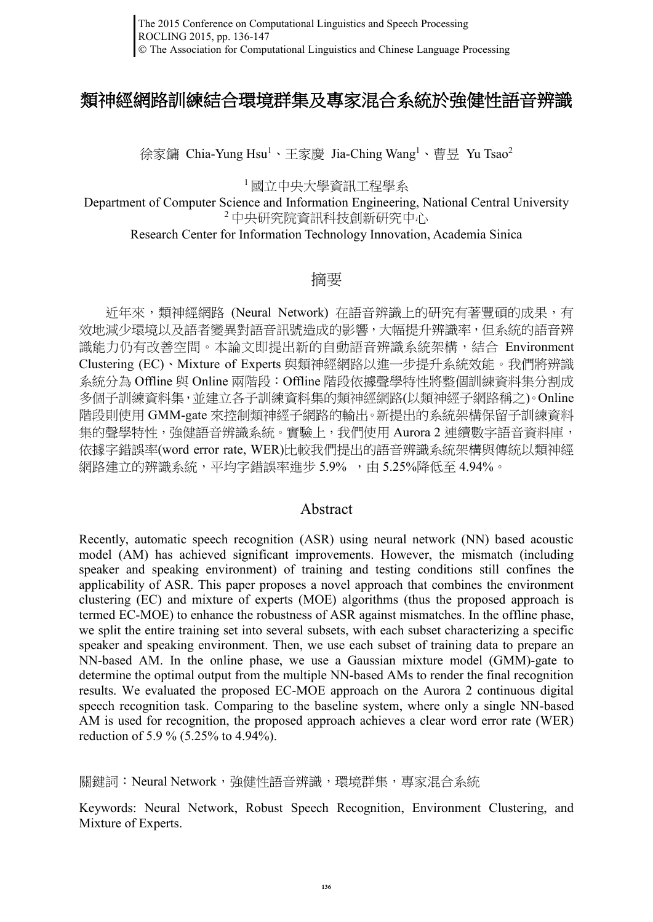# 類神經網路訓練結合環境群集及專家混合系統於強健性語音辨識

徐家鏞 Chia-Yung Hsu<sup>1</sup>、王家慶 Jia-Ching Wang<sup>1</sup>、曹昱 Yu Tsao<sup>2</sup>

<sup>1</sup> 國立中央大學資訊工程學系

Department of Computer Science and Information Engineering, National Central University <sup>2</sup> 中央研究院資訊科技創新研究中心

Research Center for Information Technology Innovation, Academia Sinica

### 摘要

近年來,類神經網路 (Neural Network) 在語音辨識上的研究有著豐碩的成果,有 效地減少環境以及語者變異對語音訊號造成的影響,大幅提升辨識率,但系統的語音辨 識能力仍有改善空間。本論文即提出新的自動語音辨識系統架構,結合 Environment Clustering (EC)、Mixture of Experts 與類神經網路以進一步提升系統效能。我們將辨識 系統分為 Offline 與 Online 兩階段:Offline 階段依據聲學特性將整個訓練資料集分割成 多個子訓練資料集,並建立各子訓練資料集的類神經網路(以類神經子網路稱之)。Online 階段則使用 GMM-gate 來控制類神經子網路的輸出。新提出的系統架構保留子訓練資料 集的聲學特性,強健語音辨識系統。實驗上,我們使用 Aurora 2 連續數字語音資料庫, 依據字錯誤率(word error rate, WER)比較我們提出的語音辨識系統架構與傳統以類神經 網路建立的辨識系統,平均字錯誤率進步 5.9% ,由 5.25%降低至 4.94%。

### Abstract

Recently, automatic speech recognition (ASR) using neural network (NN) based acoustic model (AM) has achieved significant improvements. However, the mismatch (including speaker and speaking environment) of training and testing conditions still confines the applicability of ASR. This paper proposes a novel approach that combines the environment clustering (EC) and mixture of experts (MOE) algorithms (thus the proposed approach is termed EC-MOE) to enhance the robustness of ASR against mismatches. In the offline phase, we split the entire training set into several subsets, with each subset characterizing a specific speaker and speaking environment. Then, we use each subset of training data to prepare an NN-based AM. In the online phase, we use a Gaussian mixture model (GMM)-gate to determine the optimal output from the multiple NN-based AMs to render the final recognition results. We evaluated the proposed EC-MOE approach on the Aurora 2 continuous digital speech recognition task. Comparing to the baseline system, where only a single NN-based AM is used for recognition, the proposed approach achieves a clear word error rate (WER) reduction of 5.9 % (5.25% to 4.94%).

關鍵詞: Neural Network,確健性語音辨識,環境群集,專家混合系統

Keywords: Neural Network, Robust Speech Recognition, Environment Clustering, and Mixture of Experts.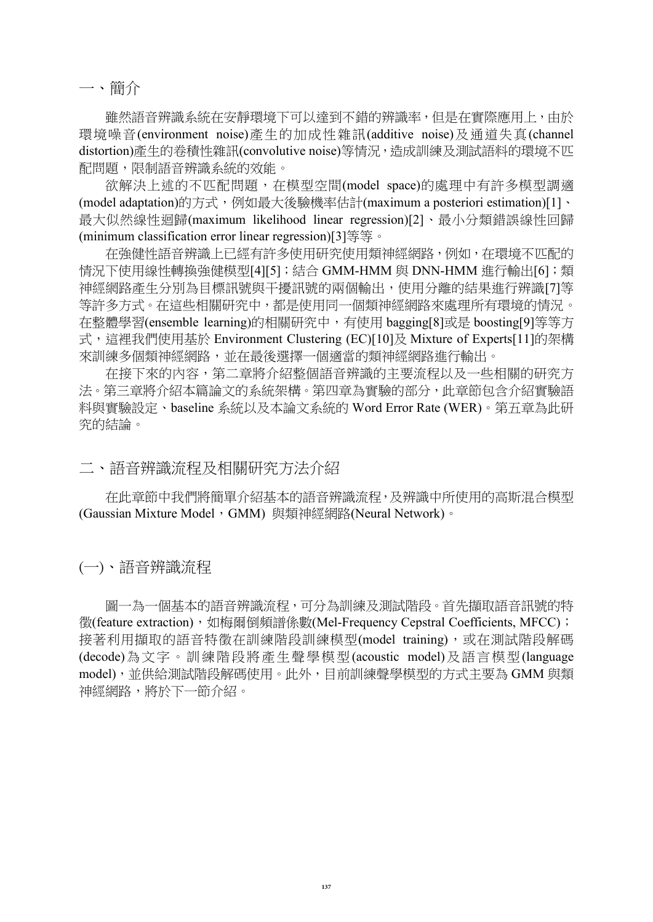一、簡介

 雖然語音辨識系統在安靜環境下可以達到不錯的辨識率,但是在實際應用上,由於 環境噪音(environment noise)產生的加成性雜訊(additive noise)及通道失真(channel distortion)產生的卷積性雜訊(convolutive noise)等情況, 造成訓練及測試語料的環境不匹 配問題,限制語音辨識系統的效能。

欲解決上述的不匹配問題,在模型空間(model space)的處理中有許多模型調適 (model adaptation)的方式,例如最大後驗機率估計(maximum a posteriori estimation[\)\[1\]](#page-10-0)、 最大似然線性迴歸(maximum likelihood linear regression[\)\[2\]](#page-10-1)、最小分類錯誤線性回歸 (minimum classification error linear regression[\)\[3\]](#page-10-2)等等。

在強健性語音辨識上已經有許多使用研究使用類神經網路,例如,在環境不匹配的 情況下使用線性轉換強健模型[\[4\]\[5\]](#page-10-3);結合 GMM-HMM 與 DNN-HMM 進行輸出[\[6\]](#page-10-4);類 神經網路產生分別為目標訊號與干擾訊號的兩個輸出,使用分離的結果進行辨識[\[7\]](#page-10-5)等 等許多方式。在這些相關研究中,都是使用同一個類神經網路來處理所有環境的情況。 在整體學習(ensemble learning)的相關研究中,有使用 baggin[g\[8\]](#page-10-6)或是 boostin[g\[9\]](#page-10-7)等等方 式,這裡我們使用基於 Environment Clustering (EC[\)\[10\]](#page-10-8)及 Mixture of Expert[s\[11\]](#page-10-9)的架構 來訓練多個類神經網路,並在最後選擇一個適當的類神經網路進行輸出。

在接下來的內容,第二章將介紹整個語音辨識的主要流程以及一些相關的研究方 法。第三章將介紹本篇論文的系統架構。第四章為實驗的部分,此章節包含介紹實驗語 料與實驗設定、baseline 系統以及本論文系統的 Word Error Rate (WER)。第五章為此研 究的結論。

二、語音辨識流程及相關研究方法介紹

 在此章節中我們將簡單介紹基本的語音辨識流程,及辨識中所使用的高斯混合模型 (Gaussian Mixture Model, GMM) 與類神經網路(Neural Network)。

(一)、語音辨識流程

 圖一為一個基本的語音辨識流程,可分為訓練及測試階段。首先擷取語音訊號的特 徵(feature extraction), 如梅爾倒頻譜係數(Mel-Frequency Cepstral Coefficients, MFCC); 接著利用擷取的語音特徵在訓練階段訓練模型(model training),或在測試階段解碼 (decode)為文字。訓練階段將產生聲學模型(acoustic model)及語言模型(language model),並供給測試階段解碼使用。此外,目前訓練聲學模型的方式主要為 GMM 與類 神經網路,將於下一節介紹。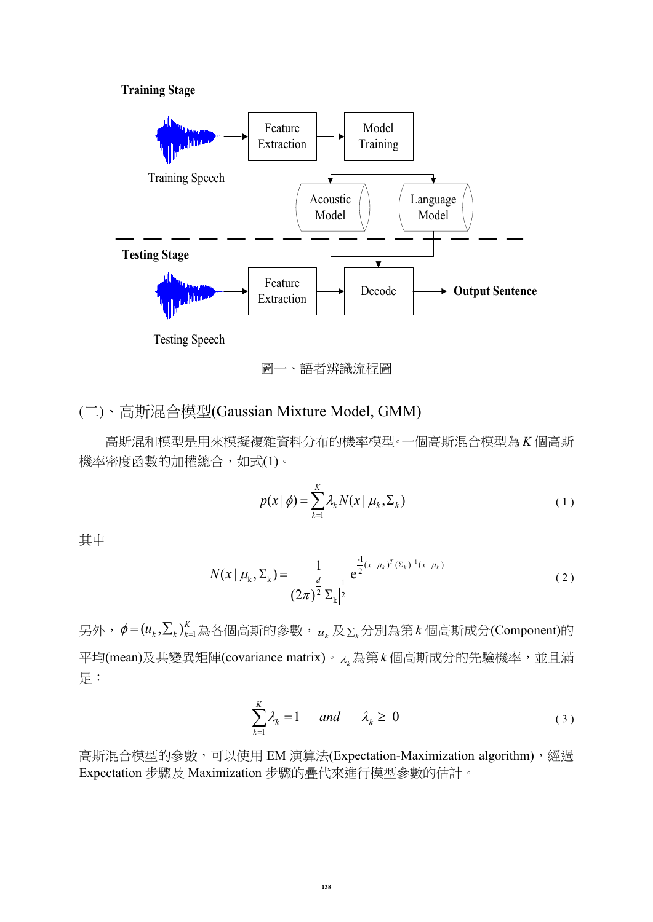#### **Training Stage**



圖一、語者辨識流程圖

## (二)、高斯混合模型(Gaussian Mixture Model, GMM)

 高斯混和模型是用來模擬複雜資料分布的機率模型。一個高斯混合模型為 *K* 個高斯 機率密度函數的加權總合,如式(1)。

$$
p(x | \phi) = \sum_{k=1}^{K} \lambda_k N(x | \mu_k, \Sigma_k)
$$
\n(1)

其中

$$
N(x \mid \mu_k, \Sigma_k) = \frac{1}{(2\pi)^{\frac{d}{2}} |\Sigma_k|^{\frac{1}{2}}} e^{\frac{1}{2}(x - \mu_k)^T (\Sigma_k)^{-1} (x - \mu_k)}
$$
(2)

另外, $\phi = (u_k, \Sigma_k)_k^K$  $\phi = (u_{_k}, \sum_{_k})_{_k=1}^{K}$ 為各個高斯的參數, $u_{_k}$ 及 $_{\sum_{_k}}$ 分別為第 $\,k$ 個高斯成分(Component)的 平均(mean)及共變異矩陣(covariance matrix)。*<sup>k</sup>* 為第 *k* 個高斯成分的先驗機率,並且滿 足:

$$
\sum_{k=1}^{K} \lambda_k = 1 \quad \text{and} \quad \lambda_k \ge 0 \tag{3}
$$

高斯混合模型的參數,可以使用 EM 演算法(Expectation-Maximization algorithm), 經過 Expectation 步驟及 Maximization 步驟的疊代來進行模型參數的估計。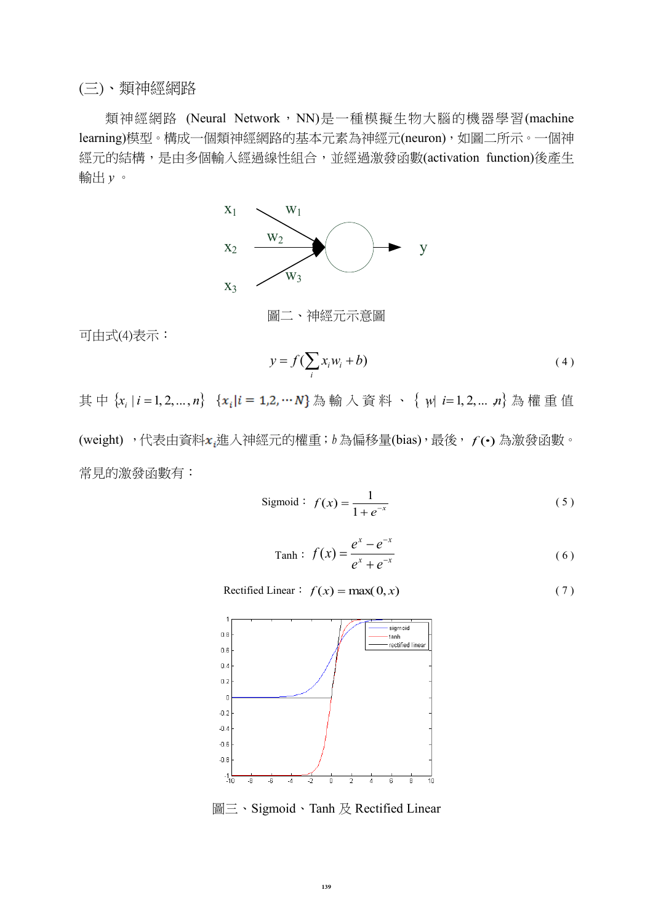### (三)、類神經網路

類神經網路 (Neural Network, NN)是一種模擬生物大腦的機器學習(machine learning)模型。構成一個類神經網路的基本元素為神經元(neuron),如圖二所示。一個神 經元的結構,是由多個輸入經過線性組合,並經過激發函數(activation function)後產生 輸出 *y* 。



可由式(4)表示:

$$
y = f\left(\sum_{i} x_i w_i + b\right) \tag{4}
$$

其中 {x<sub>i</sub> | i = 1, 2, ... , n} {x<sub>i</sub>|i = 1,2, … N} 為輸入資料、 { w| i= 1, 2, ... ,n} 為權重值 (weight),代表由資料x<sub>t</sub>進入神經元的權重;b為偏移量(bias),最後, f(·)為激發函數。 常見的激發函數有:

$$
Sigmoid: f(x) = \frac{1}{1 + e^{-x}}
$$
\n(5)

$$
Tanh: f(x) = \frac{e^x - e^{-x}}{e^x + e^{-x}}
$$
 (6)

Rectified Linear:  $f(x) = \max(0, x)$  (7)



圖三、Sigmoid、Tanh 及 Rectified Linear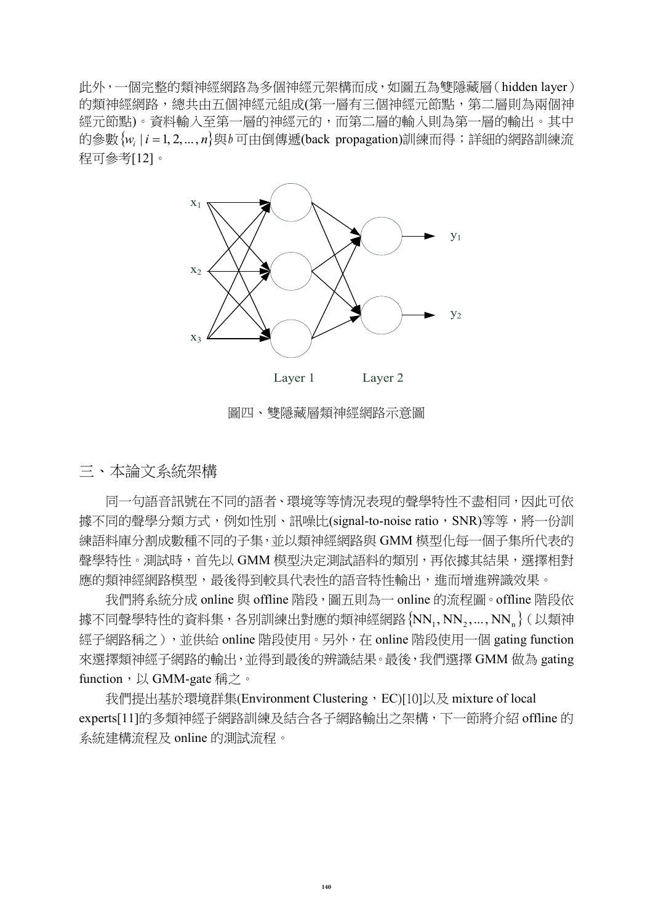此外,一個完整的類神經網路為多個神經元架構而成,如圖五為雙隱藏層(hidden layer) 的類神經網路,總共由五個神經元組成(第一層有三個神經元節點,第二層則為兩個神 經元節點)。資料輸入至第一層的神經元的,而第二層的輸入則為第一層的輸出。其中 的參數 $\{w_i \,|\, i\,{=}\, 1,2,...,n\}$ 與 $b$ 可由倒傳遞(back propagation)訓練而得;詳細的網路訓練流 程可參考[\[12\]](#page-10-10)。



圖四、雙隱藏層類神經網路示意圖

三、本論文系統架構

同一句語音訊號在不同的語者、環境等等情況表現的聲學特性不盡相同,因此可依 據不同的聲學分類方式,例如性別、訊噪比(signal-to-noise ratio, SNR)等等,將一份訓 練語料庫分割成數種不同的子集,並以類神經網路與 GMM 模型化每一個子集所代表的 聲學特性。測試時,首先以 GMM 模型決定測試語料的類別,再依據其結果,選擇相對 應的類神經網路模型,最後得到較具代表性的語音特性輸出,進而增進辨識效果。

我們將系統分成 online 與 offline 階段,圖五則為一 online 的流程圖。offline 階段依 據不同聲學特性的資料集,各別訓練出對應的類神經網路 $\{\sf NN}_1, \sf NN_2, \dots, \sf NN_n\}$ (以類神 經子網路稱之),並供給 online 階段使用。另外,在 online 階段使用一個 gating function 來選擇類神經子網路的輸出,並得到最後的辨識結果。最後,我們選擇 GMM 做為 gating function, 以 GMM-gate 稱之。

我們提出基於環境群集(Environment Clustering, EC[\)\[10\]](#page-10-8)以及 mixture of local expert[s\[11\]](#page-10-9)的多類神經子網路訓練及結合各子網路輸出之架構,下一節將介紹 offline 的 系統建構流程及 online 的測試流程。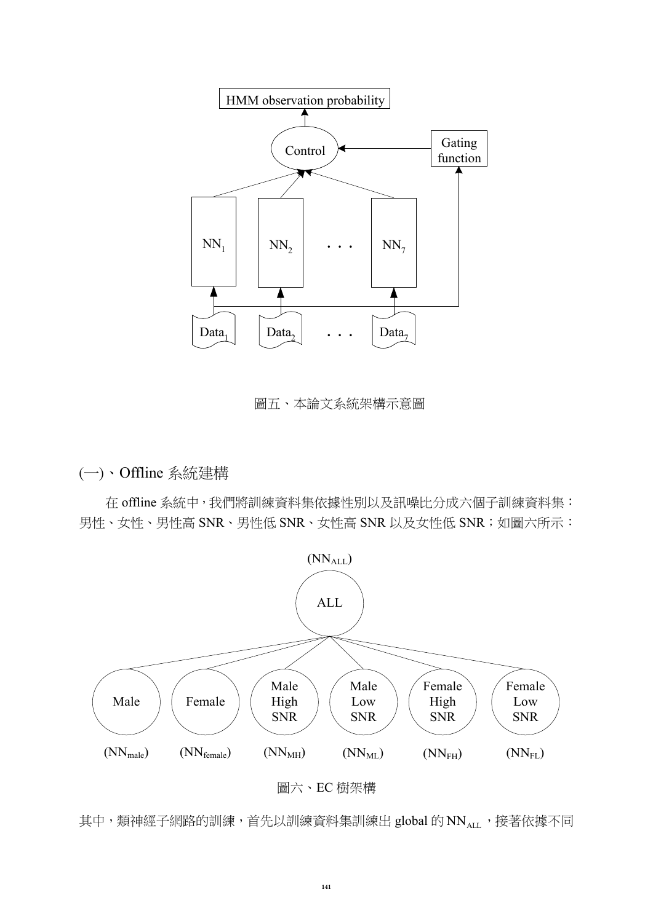

圖五、本論文系統架構示意圖

(一)、Offline 系統建構

在 offline 系統中,我們將訓練資料集依據性別以及訊噪比分成六個子訓練資料集: 男性、女性、男性高 SNR、男性低 SNR、女性高 SNR 以及女性低 SNR;如圖六所示:



圖六、EC 樹架構

其中,類神經子網路的訓練,首先以訓練資料集訓練出 global 的 NN<sub>ALL</sub>,接著依據不同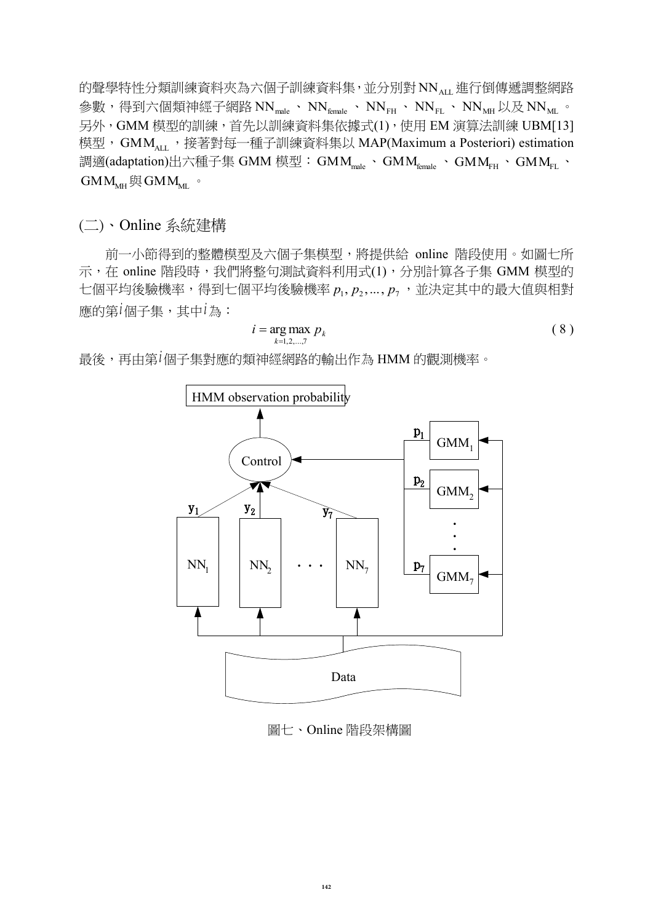的聲學特性分類訓練資料夾為六個子訓練資料集,並分別對 NN<sub>ALL</sub> 進行倒傳遞調整網路 參數,得到六個類神經子網路 NN $_{\textsf{\tiny male}}}$ 、 NN $_{\textsf{\tiny female}}$ 、 NN $_{\textsf{\tiny FH}}$ 、 NN $_{\textsf{\tiny FL}}$ 、 NN $_{\textsf{\tiny MH}}$  以及 NN $_{\textsf{\tiny ML}}$  。 另外,GMM 模型的訓練,首先以訓練資料集依據式(1),使用 EM 演算法訓練 UB[M\[13\]](#page-10-11) 模型,GMM<sub>ALL</sub>,接著對每一種子訓練資料集以 MAP(Maximum a Posteriori) estimation 調適(adaptation)出六種子集 GMM 模型: GMM<sub>male</sub> 、GMM<sub>female</sub> 、GMM<sub>FH</sub> 、GMM<sub>FL</sub> 、  $\text{GMM}_{\text{MH}}$ 與  $\text{GMM}_{\text{ML}}$ 。

(二)、Online 系統建構

前一小節得到的整體模型及六個子集模型,將提供給 online 階段使用。如圖七所 示,在 online 階段時,我們將整句測試資料利用式(1),分別計算各子集 GMM 模型的 七個平均後驗機率,得到七個平均後驗機率  $p_1, p_2, \ldots, p_7$ ,並決定其中的最大值與相對 應的第 *i* 個子集,其中 *i* 為:

$$
i = \underset{k=1,2,\ldots,7}{\arg\max} \ p_k \tag{8}
$$

最後,再由第 *i* 個子集對應的類神經網路的輸出作為 HMM 的觀測機率。



圖七、Online 階段架構圖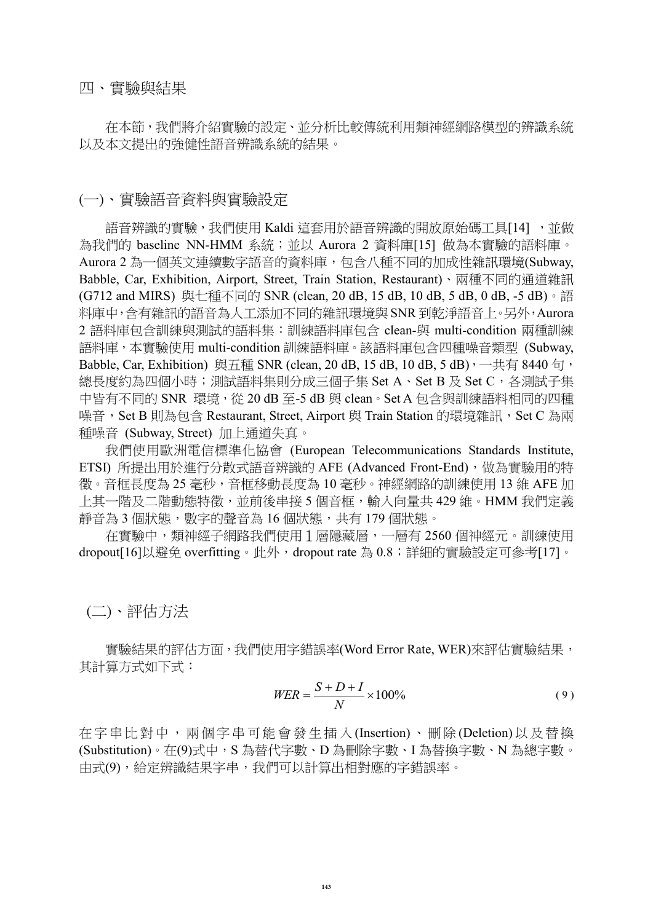四、實驗與結果

 在本節,我們將介紹實驗的設定、並分析比較傳統利用類神經網路模型的辨識系統 以及本文提出的強健性語音辨識系統的結果。

### (一)、實驗語音資料與實驗設定

語音辨識的實驗,我們使用 Kaldi 這套用於語音辨識的開放原始碼工具[\[14\]](#page-10-12) ,並做 為我們的 baseline NN-HMM 系統;並以 Aurora 2 資料庫[\[15\]](#page-11-0) 做為本實驗的語料庫。 Aurora 2 為一個英文連續數字語音的資料庫,包含八種不同的加成性雜訊環境(Subway, Babble, Car, Exhibition, Airport, Street, Train Station, Restaurant)、兩種不同的通道雜訊 (G712 and MIRS) 與七種不同的 SNR (clean, 20 dB, 15 dB, 10 dB, 5 dB, 0 dB, -5 dB)。語 料庫中,含有雜訊的語音為人工添加不同的雜訊環境與 SNR 到乾淨語音上。另外,Aurora 2 語料庫包含訓練與測試的語料集:訓練語料庫包含 clean-與 multi-condition 兩種訓練 語料庫,本實驗使用 multi-condition 訓練語料庫。該語料庫包含四種噪音類型 (Subway, Babble, Car, Exhibition) 與五種 SNR (clean, 20 dB, 15 dB, 10 dB, 5 dB), 一共有 8440 句, 總長度約為四個小時;測試語料集則分成三個子集 Set A、Set B 及 Set C,各測試子集 中皆有不同的 SNR 環境, 從 20 dB 至-5 dB 與 clean。Set A 包含與訓練語料相同的四種 噪音, Set B 則為包含 Restaurant, Street, Airport 與 Train Station 的環境雜訊, Set C 為兩 種噪音 (Subway, Street) 加上通道失真。

我們使用歐洲電信標準化協會 (European Telecommunications Standards Institute, ETSI) 所提出用於進行分散式語音辨識的 AFE (Advanced Front-End), 做為實驗用的特 徵。音框長度為 25 毫秒,音框移動長度為 10 毫秒。神經網路的訓練使用 13 維 AFE 加 上其一階及二階動態特徵,並前後串接 5 個音框,輸入向量共 429 維。HMM 我們定義 靜音為 3 個狀態,數字的聲音為 16 個狀態,共有 179 個狀態。

在實驗中,類神經子網路我們使用1層隱藏層,一層有 2560 個神經元。訓練使用 dropou[t\[16\]](#page-11-1)以避免 overfitting。此外,dropout rate 為 0.8;詳細的實驗設定可參考[\[17\]](#page-11-2)。

(二)、評估方法

 實驗結果的評估方面,我們使用字錯誤率(Word Error Rate, WER)來評估實驗結果, 其計算方式如下式:

$$
WER = \frac{S + D + I}{N} \times 100\% \tag{9}
$$

在字串 比對 中, 兩 個字串 可能 會發 生 插入 (Insertion) 、刪 除 (Deletion) 以及 替換 (Substitution)。在(9)式中,S 為替代字數、D 為刪除字數、I 為替換字數、N 為總字數。 由式(9),給定辨識結果字串,我們可以計算出相對應的字錯誤率。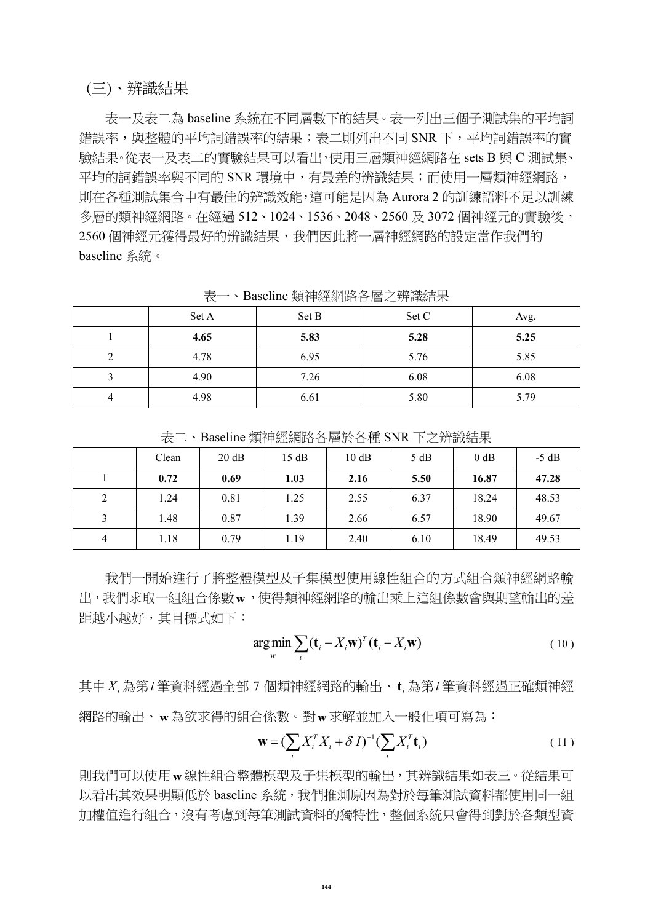### (三)、辨識結果

表一及表二為 baseline 系統在不同層數下的結果。表一列出三個子測試集的平均詞 錯誤率,與整體的平均詞錯誤率的結果;表二則列出不同 SNR 下,平均詞錯誤率的實 驗結果。從表一及表二的實驗結果可以看出,使用三層類神經網路在 sets B 與 C 測試集、 平均的詞錯誤率與不同的 SNR 環境中,有最差的辨識結果;而使用一層類神經網路, 則在各種測試集合中有最佳的辨識效能,這可能是因為 Aurora 2 的訓練語料不足以訓練 多層的類神經網路。在經過 512、1024、1536、2048、2560 及 3072 個神經元的實驗後, 2560 個神經元獲得最好的辨識結果,我們因此將一層神經網路的設定當作我們的 baseline 系統。

| ・レー |       |       |       |      |  |
|-----|-------|-------|-------|------|--|
|     | Set A | Set B | Set C | Avg. |  |
|     | 4.65  | 5.83  | 5.28  | 5.25 |  |
|     | 4.78  | 6.95  | 5.76  | 5.85 |  |
|     | 4.90  | 7.26  | 6.08  | 6.08 |  |
|     | 4.98  | 6.61  | 5.80  | 5.79 |  |

表一、Baseline 類神經網路各層之辨識結果

|  | 、Baseline 類神經網路各層於各種 SNR 下之辨識結果 |  |
|--|---------------------------------|--|
|--|---------------------------------|--|

|   | Clean | 20 dB | 15 dB | 10 dB | 5 dB | 0 dB  | $-5$ dB |
|---|-------|-------|-------|-------|------|-------|---------|
|   | 0.72  | 0.69  | 1.03  | 2.16  | 5.50 | 16.87 | 47.28   |
| 2 | 1.24  | 0.81  | 1.25  | 2.55  | 6.37 | 18.24 | 48.53   |
|   | 1.48  | 0.87  | 1.39  | 2.66  | 6.57 | 18.90 | 49.67   |
| 4 | 1.18  | 0.79  | 1.19  | 2.40  | 6.10 | 18.49 | 49.53   |

我們一開始進行了將整體模型及子集模型使用線性組合的方式組合類神經網路輸 出,我們求取一組組合係數w,使得類神經網路的輸出乘上這組係數會與期望輸出的差 距越小越好,其目標式如下:

$$
\arg\min_{w} \sum_{i} (\mathbf{t}_{i} - X_{i}\mathbf{w})^{T} (\mathbf{t}_{i} - X_{i}\mathbf{w})
$$
\n(10)

其中 $X_i$ 為第 $i$ 筆資料經過全部 7 個類神經網路的輸出、 $\mathbf{t}_i$ 為第 $i$ 筆資料經過正確類神經 網路的輸出、 **w** 為欲求得的組合係數。對 **w** 求解並加入一般化項可寫為:

$$
\mathbf{w} = \left(\sum_{i} X_i^T X_i + \delta I\right)^{-1} \left(\sum_{i} X_i^T \mathbf{t}_i\right) \tag{11}
$$

則我們可以使用 **w** 線性組合整體模型及子集模型的輸出,其辨識結果如表三。從結果可 以看出其效果明顯低於 baseline 系統,我們推測原因為對於每筆測試資料都使用同一組 加權值進行組合,沒有考慮到每筆測試資料的獨特性,整個系統只會得到對於各類型資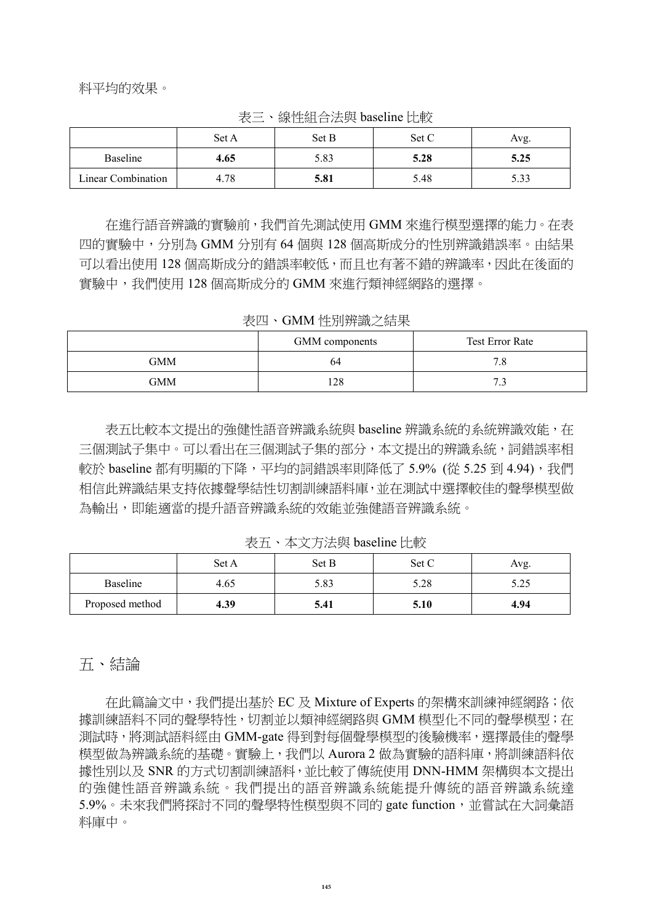料平均的效果。

|                    | Set A | Set B | Set C | Avg. |
|--------------------|-------|-------|-------|------|
| <b>Baseline</b>    | 4.65  | 5.83  | 5.28  | 5.25 |
| Linear Combination | 4.78  | 5.81  | 5.48  | 5.33 |

表三、線性組合法與 baseline 比較

在進行語音辨識的實驗前,我們首先測試使用 GMM 來進行模型選擇的能力。在表 四的實驗中,分別為 GMM 分別有 64 個與 128 個高斯成分的性別辨識錯誤率。由結果 可以看出使用 128 個高斯成分的錯誤率較低,而且也有著不錯的辨識率,因此在後面的 實驗中,我們使用 128 個高斯成分的 GMM 來進行類神經網路的選擇。

表四、GMM 性別辨識之結果

|            | <b>GMM</b> components | <b>Test Error Rate</b> |
|------------|-----------------------|------------------------|
| <b>GMM</b> | 64                    | 7 Q<br>$\cdot c$       |
| <b>GMM</b> | 128                   | 72<br>۔ ۔              |

表五比較本文提出的強健性語音辨識系統與 baseline 辨識系統的系統辨識效能, 在 三個測試子集中。可以看出在三個測試子集的部分,本文提出的辨識系統,詞錯誤率相 較於 baseline 都有明顯的下降,平均的詞錯誤率則降低了 5.9% (從 5.25 到 4.94), 我們 相信此辨識結果支持依據聲學結性切割訓練語料庫,並在測試中選擇較佳的聲學模型做 為輸出,即能適當的提升語音辨識系統的效能並強健語音辨識系統。

表五、本文方法與 baseline 比較

|                 | Set A | Set B | Set C | Avg. |
|-----------------|-------|-------|-------|------|
| <b>Baseline</b> | 4.65  | 5.83  | 5.28  | 5.25 |
| Proposed method | 4.39  | 5.41  | 5.10  | 4.94 |

### 五、結論

 在此篇論文中,我們提出基於 EC 及 Mixture of Experts 的架構來訓練神經網路;依 據訓練語料不同的聲學特性,切割並以類神經網路與 GMM 模型化不同的聲學模型;在 測試時,將測試語料經由 GMM-gate 得到對每個聲學模型的後驗機率,選擇最佳的聲學 模型做為辨識系統的基礎。實驗上,我們以 Aurora 2 做為實驗的語料庫,將訓練語料依 據性別以及 SNR 的方式切割訓練語料,並比較了傳統使用 DNN-HMM 架構與本文提出 的強健性語音辨識系統。我們提出的語音辨識系統能提升傳統的語音辨識系統達 5.9%。未來我們將探討不同的聲學特性模型與不同的 gate function,並嘗試在大詞彙語 料庫中。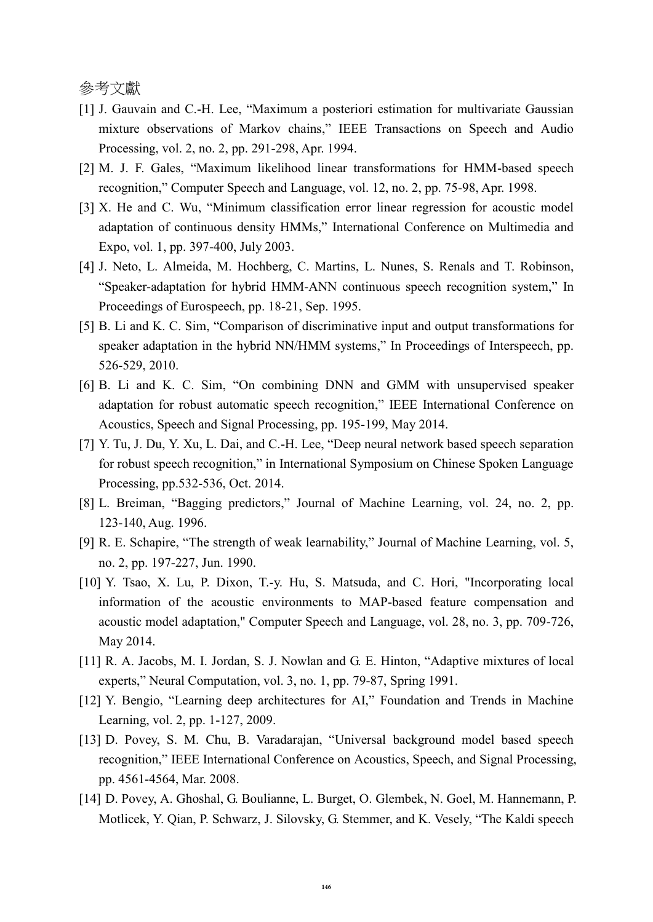參考文獻

- <span id="page-10-0"></span>[1] J. Gauvain and C.-H. Lee, "Maximum a posteriori estimation for multivariate Gaussian mixture observations of Markov chains," IEEE Transactions on Speech and Audio Processing, vol. 2, no. 2, pp. 291-298, Apr. 1994.
- <span id="page-10-1"></span>[2] M. J. F. Gales, "Maximum likelihood linear transformations for HMM-based speech recognition," Computer Speech and Language, vol. 12, no. 2, pp. 75-98, Apr. 1998.
- <span id="page-10-2"></span>[3] X. He and C. Wu, "Minimum classification error linear regression for acoustic model adaptation of continuous density HMMs," International Conference on Multimedia and Expo, vol. 1, pp. 397-400, July 2003.
- <span id="page-10-3"></span>[4] J. Neto, L. Almeida, M. Hochberg, C. Martins, L. Nunes, S. Renals and T. Robinson, "Speaker-adaptation for hybrid HMM-ANN continuous speech recognition system," In Proceedings of Eurospeech, pp. 18-21, Sep. 1995.
- [5] B. Li and K. C. Sim, "Comparison of discriminative input and output transformations for speaker adaptation in the hybrid NN/HMM systems," In Proceedings of Interspeech, pp. 526-529, 2010.
- <span id="page-10-4"></span>[6] B. Li and K. C. Sim, "On combining DNN and GMM with unsupervised speaker adaptation for robust automatic speech recognition," IEEE International Conference on Acoustics, Speech and Signal Processing, pp. 195-199, May 2014.
- <span id="page-10-5"></span>[7] Y. Tu, J. Du, Y. Xu, L. Dai, and C.-H. Lee, "Deep neural network based speech separation for robust speech recognition," in International Symposium on Chinese Spoken Language Processing, pp.532-536, Oct. 2014.
- <span id="page-10-6"></span>[8] L. Breiman, "Bagging predictors," Journal of Machine Learning, vol. 24, no. 2, pp. 123-140, Aug. 1996.
- <span id="page-10-7"></span>[9] R. E. Schapire, "The strength of weak learnability," Journal of Machine Learning, vol. 5, no. 2, pp. 197-227, Jun. 1990.
- <span id="page-10-8"></span>[10] Y. Tsao, X. Lu, P. Dixon, T.-y. Hu, S. Matsuda, and C. Hori, "Incorporating local information of the acoustic environments to MAP-based feature compensation and acoustic model adaptation," Computer Speech and Language, vol. 28, no. 3, pp. 709-726, May 2014.
- <span id="page-10-9"></span>[11] R. A. Jacobs, M. I. Jordan, S. J. Nowlan and G. E. Hinton, "Adaptive mixtures of local experts," Neural Computation, vol. 3, no. 1, pp. 79-87, Spring 1991.
- <span id="page-10-10"></span>[12] Y. Bengio, "Learning deep architectures for AI," Foundation and Trends in Machine Learning, vol. 2, pp. 1-127, 2009.
- <span id="page-10-11"></span>[13] D. Povey, S. M. Chu, B. Varadarajan, "Universal background model based speech recognition," IEEE International Conference on Acoustics, Speech, and Signal Processing, pp. 4561-4564, Mar. 2008.
- <span id="page-10-12"></span>[14] D. Povey, A. Ghoshal, G. Boulianne, L. Burget, O. Glembek, N. Goel, M. Hannemann, P. Motlicek, Y. Qian, P. Schwarz, J. Silovsky, G. Stemmer, and K. Vesely, "The Kaldi speech